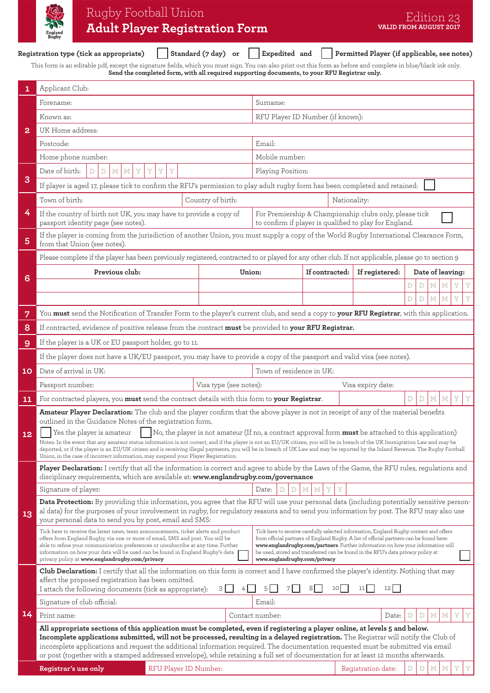|                 | Rugby Football Union<br><b>Adult Player Registration Form</b>                                                                                                                                                                                                                                                                                                                                                                                                                                                                                                            |                                                                                                                                                                                                                                                                                                                                                                                         |                                                                                                                  |                          |                   | VALID FROM AUGUST 2017                      | Edition 23 |                  |   |   |  |
|-----------------|--------------------------------------------------------------------------------------------------------------------------------------------------------------------------------------------------------------------------------------------------------------------------------------------------------------------------------------------------------------------------------------------------------------------------------------------------------------------------------------------------------------------------------------------------------------------------|-----------------------------------------------------------------------------------------------------------------------------------------------------------------------------------------------------------------------------------------------------------------------------------------------------------------------------------------------------------------------------------------|------------------------------------------------------------------------------------------------------------------|--------------------------|-------------------|---------------------------------------------|------------|------------------|---|---|--|
|                 | Registration type (tick as appropriate)                                                                                                                                                                                                                                                                                                                                                                                                                                                                                                                                  |                                                                                                                                                                                                                                                                                                                                                                                         | Standard (7 day)<br>or                                                                                           | Expedited and            |                   | Permitted Player (if applicable, see notes) |            |                  |   |   |  |
|                 | This form is an editable pdf, except the signature fields, which you must sign. You can also print out this form as before and complete in blue/black ink only.                                                                                                                                                                                                                                                                                                                                                                                                          |                                                                                                                                                                                                                                                                                                                                                                                         | Send the completed form, with all required supporting documents, to your RFU Registrar only.                     |                          |                   |                                             |            |                  |   |   |  |
| 1               | Applicant Club:                                                                                                                                                                                                                                                                                                                                                                                                                                                                                                                                                          |                                                                                                                                                                                                                                                                                                                                                                                         |                                                                                                                  |                          |                   |                                             |            |                  |   |   |  |
|                 | Forename:                                                                                                                                                                                                                                                                                                                                                                                                                                                                                                                                                                |                                                                                                                                                                                                                                                                                                                                                                                         |                                                                                                                  | Surname:                 |                   |                                             |            |                  |   |   |  |
|                 | Known as:                                                                                                                                                                                                                                                                                                                                                                                                                                                                                                                                                                |                                                                                                                                                                                                                                                                                                                                                                                         | RFU Player ID Number (if known):                                                                                 |                          |                   |                                             |            |                  |   |   |  |
| 2               | UK Home address:                                                                                                                                                                                                                                                                                                                                                                                                                                                                                                                                                         |                                                                                                                                                                                                                                                                                                                                                                                         |                                                                                                                  |                          |                   |                                             |            |                  |   |   |  |
|                 | Postcode:                                                                                                                                                                                                                                                                                                                                                                                                                                                                                                                                                                | Email:                                                                                                                                                                                                                                                                                                                                                                                  |                                                                                                                  |                          |                   |                                             |            |                  |   |   |  |
|                 | Home phone number:                                                                                                                                                                                                                                                                                                                                                                                                                                                                                                                                                       | Mobile number:                                                                                                                                                                                                                                                                                                                                                                          |                                                                                                                  |                          |                   |                                             |            |                  |   |   |  |
|                 | Date of birth:<br>M <sub>1</sub><br>Y<br>Y<br>D<br>D<br>М                                                                                                                                                                                                                                                                                                                                                                                                                                                                                                                |                                                                                                                                                                                                                                                                                                                                                                                         | Playing Position:                                                                                                |                          |                   |                                             |            |                  |   |   |  |
| 3               | If player is aged 17, please tick to confirm the RFU's permission to play adult rugby form has been completed and retained:                                                                                                                                                                                                                                                                                                                                                                                                                                              |                                                                                                                                                                                                                                                                                                                                                                                         |                                                                                                                  |                          |                   |                                             |            |                  |   |   |  |
|                 | Town of birth:                                                                                                                                                                                                                                                                                                                                                                                                                                                                                                                                                           |                                                                                                                                                                                                                                                                                                                                                                                         | Country of birth:                                                                                                |                          | Nationality:      |                                             |            |                  |   |   |  |
| 4               | If the country of birth not UK, you may have to provide a copy of<br>passport identity page (see notes).                                                                                                                                                                                                                                                                                                                                                                                                                                                                 |                                                                                                                                                                                                                                                                                                                                                                                         | For Premiership & Championship clubs only, please tick<br>to confirm if player is qualified to play for England. |                          |                   |                                             |            |                  |   |   |  |
| 5               | If the player is coming from the jurisdiction of another Union, you must supply a copy of the World Rugby International Clearance Form,<br>from that Union (see notes).                                                                                                                                                                                                                                                                                                                                                                                                  |                                                                                                                                                                                                                                                                                                                                                                                         |                                                                                                                  |                          |                   |                                             |            |                  |   |   |  |
|                 | Please complete if the player has been previously registered, contracted to or played for any other club. If not applicable, please go to section 9                                                                                                                                                                                                                                                                                                                                                                                                                      |                                                                                                                                                                                                                                                                                                                                                                                         |                                                                                                                  |                          |                   |                                             |            |                  |   |   |  |
|                 | Previous club:                                                                                                                                                                                                                                                                                                                                                                                                                                                                                                                                                           |                                                                                                                                                                                                                                                                                                                                                                                         | Union:                                                                                                           |                          | If contracted:    | If registered:                              |            | Date of leaving: |   |   |  |
| 6               |                                                                                                                                                                                                                                                                                                                                                                                                                                                                                                                                                                          |                                                                                                                                                                                                                                                                                                                                                                                         |                                                                                                                  |                          |                   |                                             | D<br>D     | М                | Y | Y |  |
|                 |                                                                                                                                                                                                                                                                                                                                                                                                                                                                                                                                                                          |                                                                                                                                                                                                                                                                                                                                                                                         |                                                                                                                  |                          |                   |                                             | D<br>D     | M<br>M           | Y | Y |  |
| 7               | You must send the Notification of Transfer Form to the player's current club, and send a copy to your RFU Registrar, with this application.                                                                                                                                                                                                                                                                                                                                                                                                                              |                                                                                                                                                                                                                                                                                                                                                                                         |                                                                                                                  |                          |                   |                                             |            |                  |   |   |  |
| 8               | If contracted, evidence of positive release from the contract must be provided to your RFU Registrar.                                                                                                                                                                                                                                                                                                                                                                                                                                                                    |                                                                                                                                                                                                                                                                                                                                                                                         |                                                                                                                  |                          |                   |                                             |            |                  |   |   |  |
| 9               | If the player is a UK or EU passport holder, go to 11.                                                                                                                                                                                                                                                                                                                                                                                                                                                                                                                   |                                                                                                                                                                                                                                                                                                                                                                                         |                                                                                                                  |                          |                   |                                             |            |                  |   |   |  |
|                 | If the player does not have a UK/EU passport, you may have to provide a copy of the passport and valid visa (see notes).                                                                                                                                                                                                                                                                                                                                                                                                                                                 |                                                                                                                                                                                                                                                                                                                                                                                         |                                                                                                                  |                          |                   |                                             |            |                  |   |   |  |
| 10              | Date of arrival in UK:                                                                                                                                                                                                                                                                                                                                                                                                                                                                                                                                                   |                                                                                                                                                                                                                                                                                                                                                                                         |                                                                                                                  | Town of residence in UK: |                   |                                             |            |                  |   |   |  |
|                 | Passport number:                                                                                                                                                                                                                                                                                                                                                                                                                                                                                                                                                         | Visa type (see notes):                                                                                                                                                                                                                                                                                                                                                                  |                                                                                                                  |                          | Visa expiry date: |                                             |            |                  |   |   |  |
| 11 <sub>1</sub> |                                                                                                                                                                                                                                                                                                                                                                                                                                                                                                                                                                          | For contracted players, you must send the contract details with this form to your Registrar.                                                                                                                                                                                                                                                                                            |                                                                                                                  |                          |                   |                                             |            |                  |   |   |  |
|                 | Amateur Player Declaration: The club and the player confirm that the above player is not in receipt of any of the material benefits                                                                                                                                                                                                                                                                                                                                                                                                                                      |                                                                                                                                                                                                                                                                                                                                                                                         |                                                                                                                  |                          |                   |                                             |            |                  |   |   |  |
| 12              | outlined in the Guidance Notes of the registration form.<br>Yes the player is amateur<br>No, the player is not amateur (If no, a contract approval form <b>must</b> be attached to this application)<br>Notes: In the event that any amateur status information is not correct, and if the player is not an EU/UK citizen, you will be in breach of the UK Immigration Law and may be<br>deported, or if the player is an EU/UK citizen and is receiving illegal payments, you will be in breach of UK Law and may be reported by the Inland Revenue. The Rugby Football |                                                                                                                                                                                                                                                                                                                                                                                         |                                                                                                                  |                          |                   |                                             |            |                  |   |   |  |
|                 | Union, in the case of incorrect information, may suspend your Player Registration.                                                                                                                                                                                                                                                                                                                                                                                                                                                                                       |                                                                                                                                                                                                                                                                                                                                                                                         |                                                                                                                  |                          |                   |                                             |            |                  |   |   |  |
|                 | Player Declaration: I certify that all the information is correct and agree to abide by the Laws of the Game, the RFU rules, regulations and<br>disciplinary requirements, which are available at: www.englandrugby.com/governance                                                                                                                                                                                                                                                                                                                                       |                                                                                                                                                                                                                                                                                                                                                                                         |                                                                                                                  |                          |                   |                                             |            |                  |   |   |  |
|                 | Signature of player:<br>Date:                                                                                                                                                                                                                                                                                                                                                                                                                                                                                                                                            |                                                                                                                                                                                                                                                                                                                                                                                         |                                                                                                                  |                          |                   |                                             |            |                  |   |   |  |
| 13              | Data Protection: By providing this information, you agree that the RFU will use your personal data (including potentially sensitive person-<br>al data) for the purposes of your involvement in rugby, for regulatory reasons and to send you information by post. The RFU may also use<br>your personal data to send you by post, email and SMS:                                                                                                                                                                                                                        |                                                                                                                                                                                                                                                                                                                                                                                         |                                                                                                                  |                          |                   |                                             |            |                  |   |   |  |
|                 | Tick here to receive the latest news, team announcements, ticket alerts and product<br>offers from England Rugby, via one or more of email, SMS and post. You will be<br>able to refine your communication preferences or unsubscribe at any time. Further<br>information on how your data will be used can be found in England Rugby's data<br>privacy policy at www.englandrugby.com/privacy                                                                                                                                                                           | Tick here to receive carefully selected information, England Rugby content and offers<br>from official partners of England Rugby. A list of official partners can be found here:<br>www.englandrugby.com/partners. Further information on how your information will<br>be used, stored and transferred can be found in the RFU's data privacy policy at<br>www.englandrugby.com/privacy |                                                                                                                  |                          |                   |                                             |            |                  |   |   |  |
|                 | Club Declaration: I certify that all the information on this form is correct and I have confirmed the player's identity. Nothing that may<br>affect the proposed registration has been omitted.<br>$12$  <br>I attach the following documents (tick as appropriate):<br>$\overline{3}$<br>10 <sup>1</sup><br>11                                                                                                                                                                                                                                                          |                                                                                                                                                                                                                                                                                                                                                                                         |                                                                                                                  |                          |                   |                                             |            |                  |   |   |  |
|                 | Signature of club official:                                                                                                                                                                                                                                                                                                                                                                                                                                                                                                                                              |                                                                                                                                                                                                                                                                                                                                                                                         |                                                                                                                  | Email:                   |                   |                                             |            |                  |   |   |  |
| 14              | Print name:                                                                                                                                                                                                                                                                                                                                                                                                                                                                                                                                                              |                                                                                                                                                                                                                                                                                                                                                                                         |                                                                                                                  | Contact number:          |                   | Date:                                       |            |                  |   |   |  |
|                 | All appropriate sections of this application must be completed, even if registering a player online, at levels 5 and below.<br>Incomplete applications submitted, will not be processed, resulting in a delayed registration. The Registrar will notify the Club of<br>incomplete applications and request the additional information required. The documentation requested must be submitted via email<br>or post (together with a stamped addressed envelope), while retaining a full set of documentation for at least 12 months afterwards.                          |                                                                                                                                                                                                                                                                                                                                                                                         |                                                                                                                  |                          |                   |                                             |            |                  |   |   |  |
|                 | Registrar's use only                                                                                                                                                                                                                                                                                                                                                                                                                                                                                                                                                     | RFU Player ID Number:                                                                                                                                                                                                                                                                                                                                                                   |                                                                                                                  |                          |                   | Registration date:                          |            |                  |   |   |  |